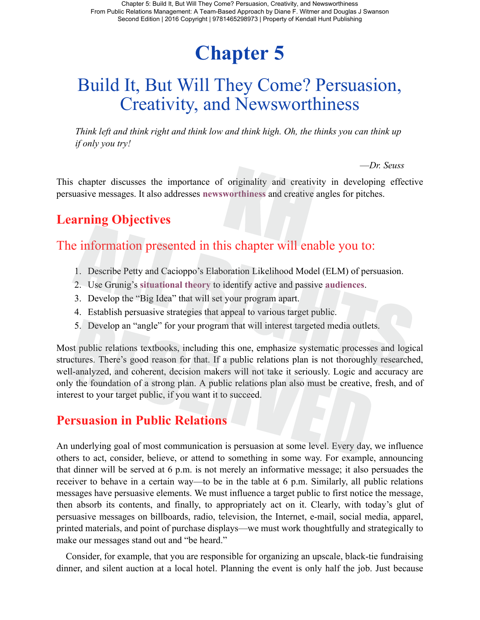# **Chapter 5**

## Build It, But Will They Come? Persuasion, Creativity, and Newsworthiness

*Think left and think right and think low and think high. Oh, the thinks you can think up if only you try!*

—*Dr. Seuss*

This chapter discusses the importance of originality and creativity in developing effective persuasive messages. It also addresses **newsworthiness** and creative angles for pitches.

## **Learning Objectives**

### The information presented in this chapter will enable you to:

- 1. Describe Petty and Cacioppo's Elaboration Likelihood Model (ELM) of persuasion.
- 2. Use Grunig's **situational theory** to identify active and passive **audiences**.
- 3. Develop the "Big Idea" that will set your program apart.
- 4. Establish persuasive strategies that appeal to various target public.
- 5. Develop an "angle" for your program that will interest targeted media outlets.

Most public relations textbooks, including this one, emphasize systematic processes and logical structures. There's good reason for that. If a public relations plan is not thoroughly researched, well-analyzed, and coherent, decision makers will not take it seriously. Logic and accuracy are only the foundation of a strong plan. A public relations plan also must be creative, fresh, and of interest to your target public, if you want it to succeed.

#### **Persuasion in Public Relations**

An underlying goal of most communication is persuasion at some level. Every day, we influence others to act, consider, believe, or attend to something in some way. For example, announcing that dinner will be served at 6 p.m. is not merely an informative message; it also persuades the receiver to behave in a certain way—to be in the table at 6 p.m. Similarly, all public relations messages have persuasive elements. We must influence a target public to first notice the message, then absorb its contents, and finally, to appropriately act on it. Clearly, with today's glut of persuasive messages on billboards, radio, television, the Internet, e-mail, social media, apparel, printed materials, and point of purchase displays—we must work thoughtfully and strategically to make our messages stand out and "be heard."

Consider, for example, that you are responsible for organizing an upscale, black-tie fundraising dinner, and silent auction at a local hotel. Planning the event is only half the job. Just because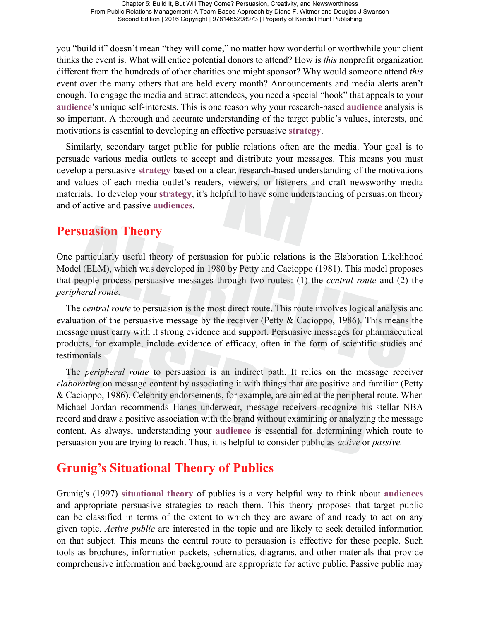you "build it" doesn't mean "they will come," no matter how wonderful or worthwhile your client thinks the event is. What will entice potential donors to attend? How is *this* nonprofit organization different from the hundreds of other charities one might sponsor? Why would someone attend *this* event over the many others that are held every month? Announcements and media alerts aren't enough. To engage the media and attract attendees, you need a special "hook" that appeals to your **audience**'s unique self-interests. This is one reason why your research-based **audience** analysis is so important. A thorough and accurate understanding of the target public's values, interests, and motivations is essential to developing an effective persuasive **strategy**.

Similarly, secondary target public for public relations often are the media. Your goal is to persuade various media outlets to accept and distribute your messages. This means you must develop a persuasive **strategy** based on a clear, research-based understanding of the motivations and values of each media outlet's readers, viewers, or listeners and craft newsworthy media materials. To develop your **strategy**, it's helpful to have some understanding of persuasion theory and of active and passive **audiences**.

#### **Persuasion Theory**

One particularly useful theory of persuasion for public relations is the Elaboration Likelihood Model (ELM), which was developed in 1980 by Petty and Cacioppo (1981). This model proposes that people process persuasive messages through two routes: (1) the *central route* and (2) the *peripheral route*.

The *central route* to persuasion is the most direct route. This route involves logical analysis and evaluation of the persuasive message by the receiver (Petty  $\&$  Cacioppo, 1986). This means the message must carry with it strong evidence and support. Persuasive messages for pharmaceutical products, for example, include evidence of efficacy, often in the form of scientific studies and testimonials.

The *peripheral route* to persuasion is an indirect path. It relies on the message receiver *elaborating* on message content by associating it with things that are positive and familiar (Petty & Cacioppo, 1986). Celebrity endorsements, for example, are aimed at the peripheral route. When Michael Jordan recommends Hanes underwear, message receivers recognize his stellar NBA record and draw a positive association with the brand without examining or analyzing the message content. As always, understanding your **audience** is essential for determining which route to persuasion you are trying to reach. Thus, it is helpful to consider public as *active* or *passive.*

#### **Grunig's Situational Theory of Publics**

Grunig's (1997) **situational theory** of publics is a very helpful way to think about **audiences** and appropriate persuasive strategies to reach them. This theory proposes that target public can be classified in terms of the extent to which they are aware of and ready to act on any given topic. *Active public* are interested in the topic and are likely to seek detailed information on that subject. This means the central route to persuasion is effective for these people. Such tools as brochures, information packets, schematics, diagrams, and other materials that provide comprehensive information and background are appropriate for active public. Passive public may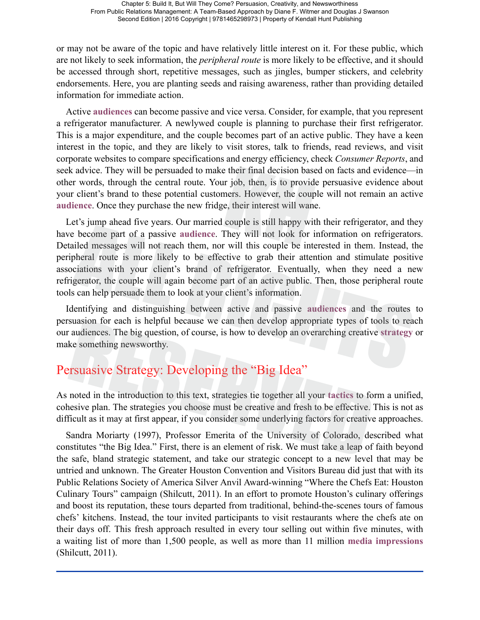or may not be aware of the topic and have relatively little interest on it. For these public, which are not likely to seek information, the *peripheral route* is more likely to be effective, and it should be accessed through short, repetitive messages, such as jingles, bumper stickers, and celebrity endorsements. Here, you are planting seeds and raising awareness, rather than providing detailed information for immediate action.

Active **audiences** can become passive and vice versa. Consider, for example, that you represent a refrigerator manufacturer. A newlywed couple is planning to purchase their first refrigerator. This is a major expenditure, and the couple becomes part of an active public. They have a keen interest in the topic, and they are likely to visit stores, talk to friends, read reviews, and visit corporate websites to compare specifications and energy efficiency, check *Consumer Reports*, and seek advice. They will be persuaded to make their final decision based on facts and evidence—in other words, through the central route. Your job, then, is to provide persuasive evidence about your client's brand to these potential customers. However, the couple will not remain an active **audience**. Once they purchase the new fridge, their interest will wane.

Let's jump ahead five years. Our married couple is still happy with their refrigerator, and they have become part of a passive **audience**. They will not look for information on refrigerators. Detailed messages will not reach them, nor will this couple be interested in them. Instead, the peripheral route is more likely to be effective to grab their attention and stimulate positive associations with your client's brand of refrigerator. Eventually, when they need a new refrigerator, the couple will again become part of an active public. Then, those peripheral route tools can help persuade them to look at your client's information.

Identifying and distinguishing between active and passive **audiences** and the routes to persuasion for each is helpful because we can then develop appropriate types of tools to reach our audiences. The big question, of course, is how to develop an overarching creative **strategy** or make something newsworthy.

#### Persuasive Strategy: Developing the "Big Idea"

As noted in the introduction to this text, strategies tie together all your **tactics** to form a unified, cohesive plan. The strategies you choose must be creative and fresh to be effective. This is not as difficult as it may at first appear, if you consider some underlying factors for creative approaches.

Sandra Moriarty (1997), Professor Emerita of the University of Colorado, described what constitutes "the Big Idea." First, there is an element of risk. We must take a leap of faith beyond the safe, bland strategic statement, and take our strategic concept to a new level that may be untried and unknown. The Greater Houston Convention and Visitors Bureau did just that with its Public Relations Society of America Silver Anvil Award-winning "Where the Chefs Eat: Houston Culinary Tours" campaign (Shilcutt, 2011). In an effort to promote Houston's culinary offerings and boost its reputation, these tours departed from traditional, behind-the-scenes tours of famous chefs' kitchens. Instead, the tour invited participants to visit restaurants where the chefs ate on their days off. This fresh approach resulted in every tour selling out within five minutes, with a waiting list of more than 1,500 people, as well as more than 11 million **media impressions** (Shilcutt, 2011).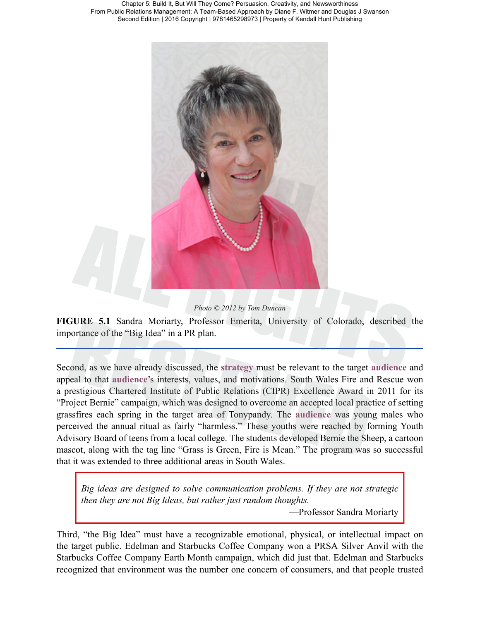



**FIGURE 5.1** Sandra Moriarty, Professor Emerita, University of Colorado, described the importance of the "Big Idea" in a PR plan.

Second, as we have already discussed, the **strategy** must be relevant to the target **audience** and appeal to that **audience**'s interests, values, and motivations. South Wales Fire and Rescue won a prestigious Chartered Institute of Public Relations (CIPR) Excellence Award in 2011 for its "Project Bernie" campaign, which was designed to overcome an accepted local practice of setting grassfires each spring in the target area of Tonypandy. The **audience** was young males who perceived the annual ritual as fairly "harmless." These youths were reached by forming Youth Advisory Board of teens from a local college. The students developed Bernie the Sheep, a cartoon mascot, along with the tag line "Grass is Green, Fire is Mean." The program was so successful that it was extended to three additional areas in South Wales.

*Big ideas are designed to solve communication problems. If they are not strategic then they are not Big Ideas, but rather just random thoughts.*

—Professor Sandra Moriarty

Third, "the Big Idea" must have a recognizable emotional, physical, or intellectual impact on the target public. Edelman and Starbucks Coffee Company won a PRSA Silver Anvil with the Starbucks Coffee Company Earth Month campaign, which did just that. Edelman and Starbucks recognized that environment was the number one concern of consumers, and that people trusted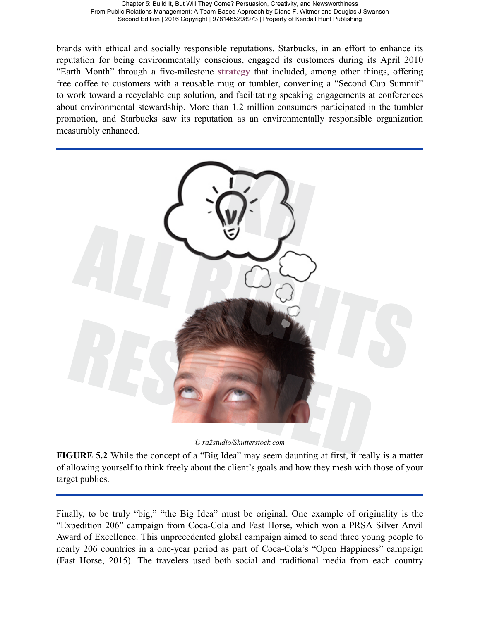brands with ethical and socially responsible reputations. Starbucks, in an effort to enhance its reputation for being environmentally conscious, engaged its customers during its April 2010 "Earth Month" through a five-milestone **strategy** that included, among other things, offering free coffee to customers with a reusable mug or tumbler, convening a "Second Cup Summit" to work toward a recyclable cup solution, and facilitating speaking engagements at conferences about environmental stewardship. More than 1.2 million consumers participated in the tumbler promotion, and Starbucks saw its reputation as an environmentally responsible organization measurably enhanced.



© *ra2studio/Shutterstock.com*

**FIGURE 5.2** While the concept of a "Big Idea" may seem daunting at first, it really is a matter of allowing yourself to think freely about the client's goals and how they mesh with those of your target publics.

Finally, to be truly "big," "the Big Idea" must be original. One example of originality is the "Expedition 206" campaign from Coca-Cola and Fast Horse, which won a PRSA Silver Anvil Award of Excellence. This unprecedented global campaign aimed to send three young people to nearly 206 countries in a one-year period as part of Coca-Cola's "Open Happiness" campaign (Fast Horse, 2015). The travelers used both social and traditional media from each country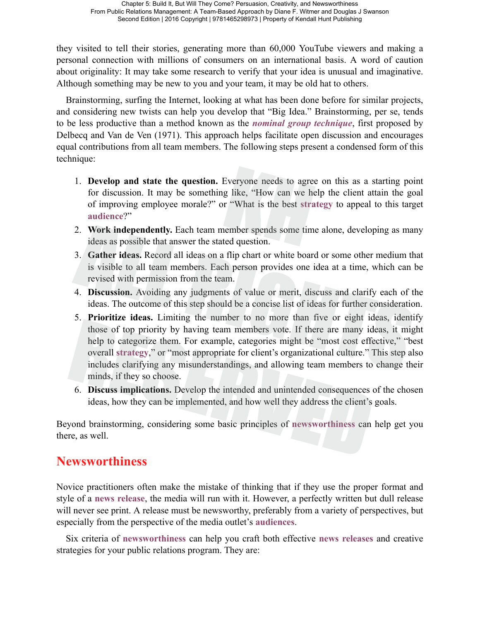they visited to tell their stories, generating more than 60,000 YouTube viewers and making a personal connection with millions of consumers on an international basis. A word of caution about originality: It may take some research to verify that your idea is unusual and imaginative. Although something may be new to you and your team, it may be old hat to others.

Brainstorming, surfing the Internet, looking at what has been done before for similar projects, and considering new twists can help you develop that "Big Idea." Brainstorming, per se, tends to be less productive than a method known as the *nominal group technique*, first proposed by Delbecq and Van de Ven (1971). This approach helps facilitate open discussion and encourages equal contributions from all team members. The following steps present a condensed form of this technique:

- 1. **Develop and state the question.** Everyone needs to agree on this as a starting point for discussion. It may be something like, "How can we help the client attain the goal of improving employee morale?" or "What is the best **strategy** to appeal to this target **audience**?"
- 2. **Work independently.** Each team member spends some time alone, developing as many ideas as possible that answer the stated question.
- 3. **Gather ideas.** Record all ideas on a flip chart or white board or some other medium that is visible to all team members. Each person provides one idea at a time, which can be revised with permission from the team.
- 4. **Discussion.** Avoiding any judgments of value or merit, discuss and clarify each of the ideas. The outcome of this step should be a concise list of ideas for further consideration.
- 5. **Prioritize ideas.** Limiting the number to no more than five or eight ideas, identify those of top priority by having team members vote. If there are many ideas, it might help to categorize them. For example, categories might be "most cost effective," "best overall **strategy**," or "most appropriate for client's organizational culture." This step also includes clarifying any misunderstandings, and allowing team members to change their minds, if they so choose.
- 6. **Discuss implications.** Develop the intended and unintended consequences of the chosen ideas, how they can be implemented, and how well they address the client's goals.

Beyond brainstorming, considering some basic principles of **newsworthiness** can help get you there, as well.

#### **Newsworthiness**

Novice practitioners often make the mistake of thinking that if they use the proper format and style of a **news release**, the media will run with it. However, a perfectly written but dull release will never see print. A release must be newsworthy, preferably from a variety of perspectives, but especially from the perspective of the media outlet's **audiences**.

Six criteria of **newsworthiness** can help you craft both effective **news releases** and creative strategies for your public relations program. They are: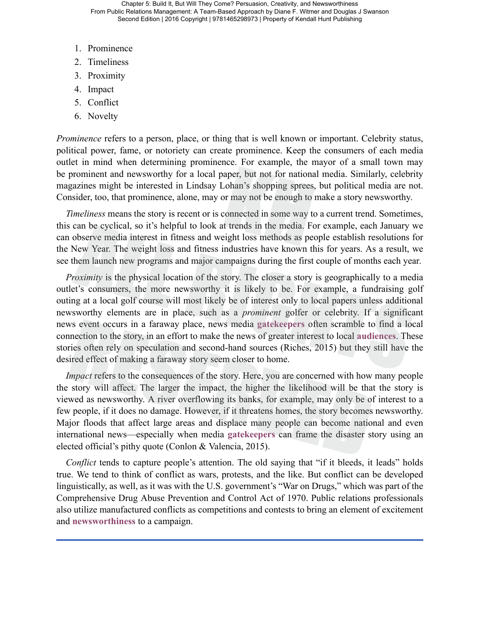- 1. Prominence
- 2. Timeliness
- 3. Proximity
- 4. Impact
- 5. Conflict
- 6. Novelty

*Prominence* refers to a person, place, or thing that is well known or important. Celebrity status, political power, fame, or notoriety can create prominence. Keep the consumers of each media outlet in mind when determining prominence. For example, the mayor of a small town may be prominent and newsworthy for a local paper, but not for national media. Similarly, celebrity magazines might be interested in Lindsay Lohan's shopping sprees, but political media are not. Consider, too, that prominence, alone, may or may not be enough to make a story newsworthy.

*Timeliness* means the story is recent or is connected in some way to a current trend. Sometimes, this can be cyclical, so it's helpful to look at trends in the media. For example, each January we can observe media interest in fitness and weight loss methods as people establish resolutions for the New Year. The weight loss and fitness industries have known this for years. As a result, we see them launch new programs and major campaigns during the first couple of months each year.

*Proximity* is the physical location of the story. The closer a story is geographically to a media outlet's consumers, the more newsworthy it is likely to be. For example, a fundraising golf outing at a local golf course will most likely be of interest only to local papers unless additional newsworthy elements are in place, such as a *prominent* golfer or celebrity. If a significant news event occurs in a faraway place, news media **gatekeepers** often scramble to find a local connection to the story, in an effort to make the news of greater interest to local **audiences**. These stories often rely on speculation and second-hand sources (Riches, 2015) but they still have the desired effect of making a faraway story seem closer to home.

*Impact* refers to the consequences of the story. Here, you are concerned with how many people the story will affect. The larger the impact, the higher the likelihood will be that the story is viewed as newsworthy. A river overflowing its banks, for example, may only be of interest to a few people, if it does no damage. However, if it threatens homes, the story becomes newsworthy. Major floods that affect large areas and displace many people can become national and even international news—especially when media **gatekeepers** can frame the disaster story using an elected official's pithy quote (Conlon & Valencia, 2015).

*Conflict* tends to capture people's attention. The old saying that "if it bleeds, it leads" holds true. We tend to think of conflict as wars, protests, and the like. But conflict can be developed linguistically, as well, as it was with the U.S. government's "War on Drugs," which was part of the Comprehensive Drug Abuse Prevention and Control Act of 1970. Public relations professionals also utilize manufactured conflicts as competitions and contests to bring an element of excitement and **newsworthiness** to a campaign.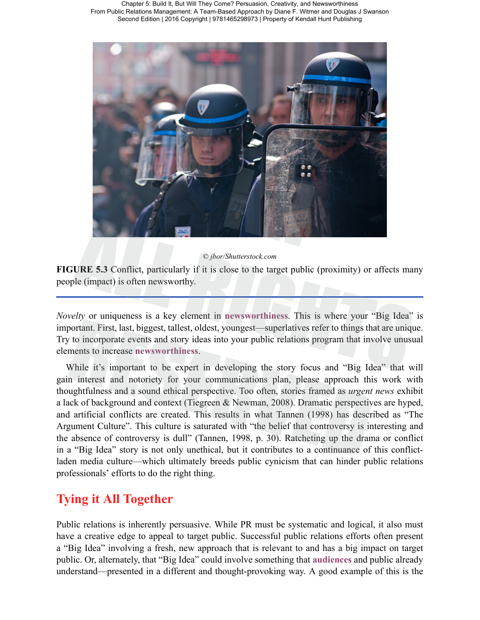

#### © *jbor/Shutterstock.com*

**FIGURE 5.3** Conflict, particularly if it is close to the target public (proximity) or affects many people (impact) is often newsworthy.

*Novelty* or uniqueness is a key element in **newsworthiness**. This is where your "Big Idea" is important. First, last, biggest, tallest, oldest, youngest—superlatives refer to things that are unique. Try to incorporate events and story ideas into your public relations program that involve unusual elements to increase **newsworthiness**.

While it's important to be expert in developing the story focus and "Big Idea" that will gain interest and notoriety for your communications plan, please approach this work with thoughtfulness and a sound ethical perspective. Too often, stories framed as *urgent news* exhibit a lack of background and context (Tiegreen & Newman, 2008). Dramatic perspectives are hyped, and artificial conflicts are created. This results in what Tannen (1998) has described as "The Argument Culture". This culture is saturated with "the belief that controversy is interesting and the absence of controversy is dull" (Tannen, 1998, p. 30). Ratcheting up the drama or conflict in a "Big Idea" story is not only unethical, but it contributes to a continuance of this conflictladen media culture—which ultimately breeds public cynicism that can hinder public relations professionals' efforts to do the right thing.

#### **Tying it All Together**

Public relations is inherently persuasive. While PR must be systematic and logical, it also must have a creative edge to appeal to target public. Successful public relations efforts often present a "Big Idea" involving a fresh, new approach that is relevant to and has a big impact on target public. Or, alternately, that "Big Idea" could involve something that **audiences** and public already understand—presented in a different and thought-provoking way. A good example of this is the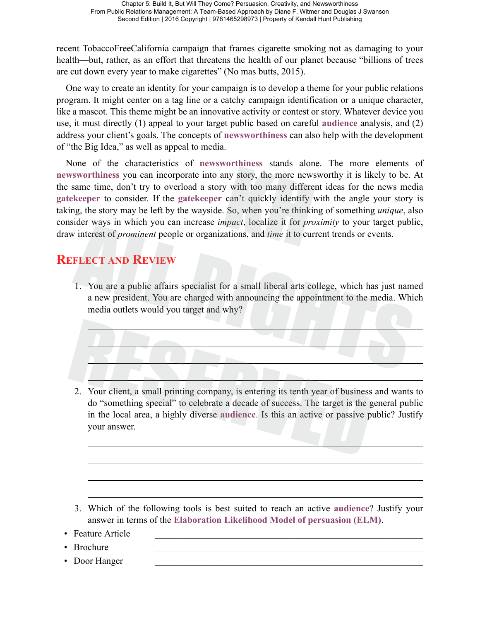recent TobaccoFreeCalifornia campaign that frames cigarette smoking not as damaging to your health—but, rather, as an effort that threatens the health of our planet because "billions of trees are cut down every year to make cigarettes" (No mas butts, 2015).

One way to create an identity for your campaign is to develop a theme for your public relations program. It might center on a tag line or a catchy campaign identification or a unique character, like a mascot. This theme might be an innovative activity or contest or story. Whatever device you use, it must directly (1) appeal to your target public based on careful **audience** analysis, and (2) address your client's goals. The concepts of **newsworthiness** can also help with the development of "the Big Idea," as well as appeal to media.

None of the characteristics of **newsworthiness** stands alone. The more elements of **newsworthiness** you can incorporate into any story, the more newsworthy it is likely to be. At the same time, don't try to overload a story with too many different ideas for the news media **gatekeeper** to consider. If the **gatekeeper** can't quickly identify with the angle your story is taking, the story may be left by the wayside. So, when you're thinking of something *unique*, also consider ways in which you can increase *impact*, localize it for *proximity* to your target public, draw interest of *prominent* people or organizations, and *time* it to current trends or events.

#### **REFLECT AND REVIEW**

1. You are a public affairs specialist for a small liberal arts college, which has just named a new president. You are charged with announcing the appointment to the media. Which media outlets would you target and why?

2. Your client, a small printing company, is entering its tenth year of business and wants to do "something special" to celebrate a decade of success. The target is the general public in the local area, a highly diverse **audience**. Is this an active or passive public? Justify your answer.

- 3. Which of the following tools is best suited to reach an active **audience**? Justify your answer in terms of the **Elaboration Likelihood Model of persuasion (ELM)**.
- Feature Article
- Brochure
- Door Hanger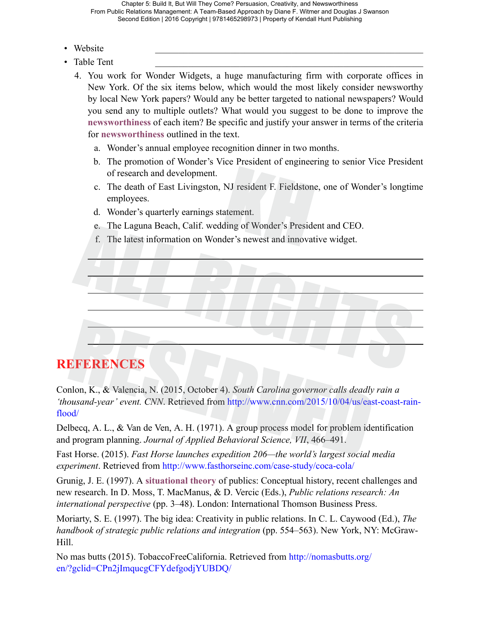- Website **with a set of the set of the set of the set of the set of the set of the set of the set of the set of the set of the set of the set of the set of the set of the set of the set of the set of the set of the set of**
- Table Tent
	- 4. You work for Wonder Widgets, a huge manufacturing firm with corporate offices in New York. Of the six items below, which would the most likely consider newsworthy by local New York papers? Would any be better targeted to national newspapers? Would you send any to multiple outlets? What would you suggest to be done to improve the **newsworthiness** of each item? Be specific and justify your answer in terms of the criteria for **newsworthiness** outlined in the text.
		- a. Wonder's annual employee recognition dinner in two months.
		- b. The promotion of Wonder's Vice President of engineering to senior Vice President of research and development.
		- c. The death of East Livingston, NJ resident F. Fieldstone, one of Wonder's longtime employees.
		- d. Wonder's quarterly earnings statement.
		- e. The Laguna Beach, Calif. wedding of Wonder's President and CEO.
		- f. The latest information on Wonder's newest and innovative widget.

#### **REFERENCES**

Conlon, K., & Valencia, N. (2015, October 4). *South Carolina governor calls deadly rain a 'thousand-year' event. CNN*. Retrieved from [http://www.cnn.com/2015/10/04/us/east-coast-rain](http://www.cnn.com/2015/10/04/us/east-coast-rain-flood/)[flood/](http://www.cnn.com/2015/10/04/us/east-coast-rain-flood/)

Delbecq, A. L., & Van de Ven, A. H. (1971). A group process model for problem identification and program planning. *Journal of Applied Behavioral Science, VII*, 466–491.

Fast Horse. (2015). *Fast Horse launches expedition 206—the world's largest social media experiment*. Retrieved from <http://www.fasthorseinc.com/case-study/coca-cola/>

Grunig, J. E. (1997). A **situational theory** of publics: Conceptual history, recent challenges and new research. In D. Moss, T. MacManus, & D. Vercic (Eds.), *Public relations research: An international perspective* (pp. 3–48). London: International Thomson Business Press.

Moriarty, S. E. (1997). The big idea: Creativity in public relations. In C. L. Caywood (Ed.), *The handbook of strategic public relations and integration* (pp. 554–563). New York, NY: McGraw-Hill.

No mas butts (2015). TobaccoFreeCalifornia. Retrieved from [http://nomasbutts.org/](http://nomasbutts.org/en/?gclid=CPn2jImqucgCFYdefgodjYUBDQ/) [en/?gclid=CPn2jImqucgCFYdefgodjYUBDQ/](http://nomasbutts.org/en/?gclid=CPn2jImqucgCFYdefgodjYUBDQ/)